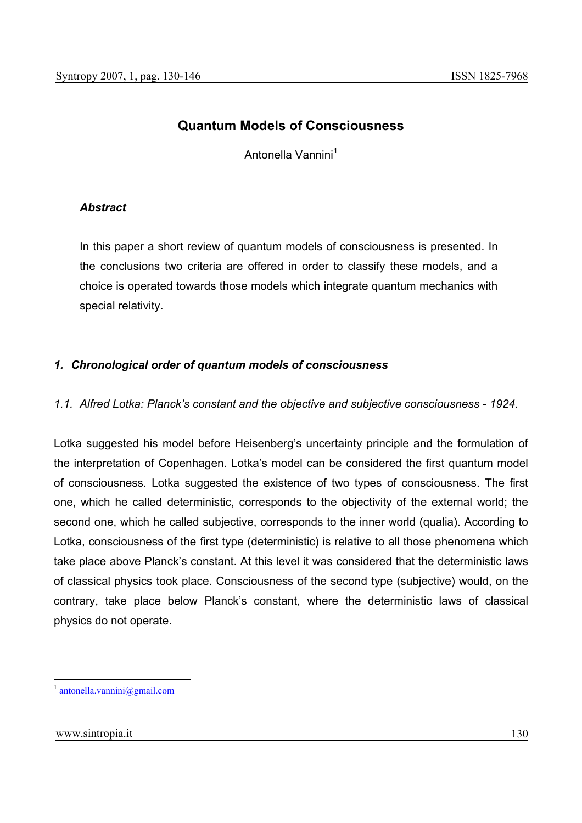# **Quantum Models of Consciousness**

Antonella Vannini<sup>1</sup>

# *Abstract*

In this paper a short review of quantum models of consciousness is presented. In the conclusions two criteria are offered in order to classify these models, and a choice is operated towards those models which integrate quantum mechanics with special relativity.

# *1. Chronological order of quantum models of consciousness*

# *1.1. Alfred Lotka: Planck's constant and the objective and subjective consciousness - 1924.*

Lotka suggested his model before Heisenberg's uncertainty principle and the formulation of the interpretation of Copenhagen. Lotka's model can be considered the first quantum model of consciousness. Lotka suggested the existence of two types of consciousness. The first one, which he called deterministic, corresponds to the objectivity of the external world; the second one, which he called subjective, corresponds to the inner world (qualia). According to Lotka, consciousness of the first type (deterministic) is relative to all those phenomena which take place above Planck's constant. At this level it was considered that the deterministic laws of classical physics took place. Consciousness of the second type (subjective) would, on the contrary, take place below Planck's constant, where the deterministic laws of classical physics do not operate.

 $antonella.vannini@gmail.com$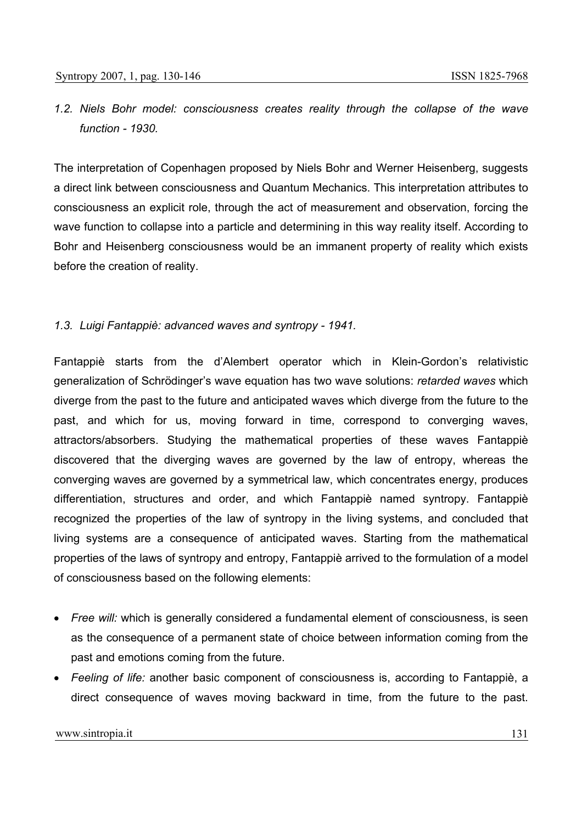# *1.2. Niels Bohr model: consciousness creates reality through the collapse of the wave function - 1930.*

The interpretation of Copenhagen proposed by Niels Bohr and Werner Heisenberg, suggests a direct link between consciousness and Quantum Mechanics. This interpretation attributes to consciousness an explicit role, through the act of measurement and observation, forcing the wave function to collapse into a particle and determining in this way reality itself. According to Bohr and Heisenberg consciousness would be an immanent property of reality which exists before the creation of reality.

### *1.3. Luigi Fantappiè: advanced waves and syntropy - 1941.*

Fantappiè starts from the d'Alembert operator which in Klein-Gordon's relativistic generalization of Schrödinger's wave equation has two wave solutions: *retarded waves* which diverge from the past to the future and anticipated waves which diverge from the future to the past, and which for us, moving forward in time, correspond to converging waves, attractors/absorbers. Studying the mathematical properties of these waves Fantappiè discovered that the diverging waves are governed by the law of entropy, whereas the converging waves are governed by a symmetrical law, which concentrates energy, produces differentiation, structures and order, and which Fantappiè named syntropy. Fantappiè recognized the properties of the law of syntropy in the living systems, and concluded that living systems are a consequence of anticipated waves. Starting from the mathematical properties of the laws of syntropy and entropy, Fantappiè arrived to the formulation of a model of consciousness based on the following elements:

- *Free will:* which is generally considered a fundamental element of consciousness, is seen as the consequence of a permanent state of choice between information coming from the past and emotions coming from the future.
- *Feeling of life:* another basic component of consciousness is, according to Fantappiè, a direct consequence of waves moving backward in time, from the future to the past.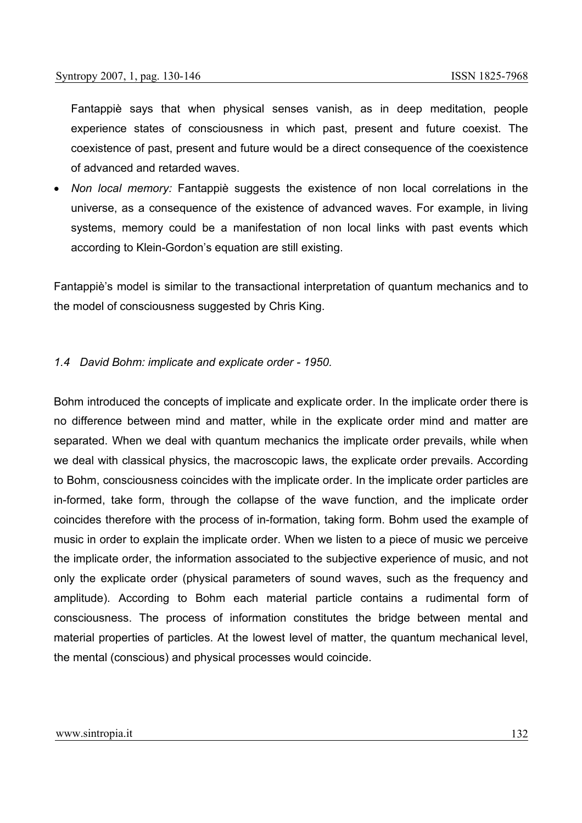Fantappiè says that when physical senses vanish, as in deep meditation, people experience states of consciousness in which past, present and future coexist. The coexistence of past, present and future would be a direct consequence of the coexistence of advanced and retarded waves.

• *Non local memory:* Fantappiè suggests the existence of non local correlations in the universe, as a consequence of the existence of advanced waves. For example, in living systems, memory could be a manifestation of non local links with past events which according to Klein-Gordon's equation are still existing.

Fantappiè's model is similar to the transactional interpretation of quantum mechanics and to the model of consciousness suggested by Chris King.

#### *1.4 David Bohm: implicate and explicate order - 1950.*

Bohm introduced the concepts of implicate and explicate order. In the implicate order there is no difference between mind and matter, while in the explicate order mind and matter are separated. When we deal with quantum mechanics the implicate order prevails, while when we deal with classical physics, the macroscopic laws, the explicate order prevails. According to Bohm, consciousness coincides with the implicate order. In the implicate order particles are in-formed, take form, through the collapse of the wave function, and the implicate order coincides therefore with the process of in-formation, taking form. Bohm used the example of music in order to explain the implicate order. When we listen to a piece of music we perceive the implicate order, the information associated to the subjective experience of music, and not only the explicate order (physical parameters of sound waves, such as the frequency and amplitude). According to Bohm each material particle contains a rudimental form of consciousness. The process of information constitutes the bridge between mental and material properties of particles. At the lowest level of matter, the quantum mechanical level, the mental (conscious) and physical processes would coincide.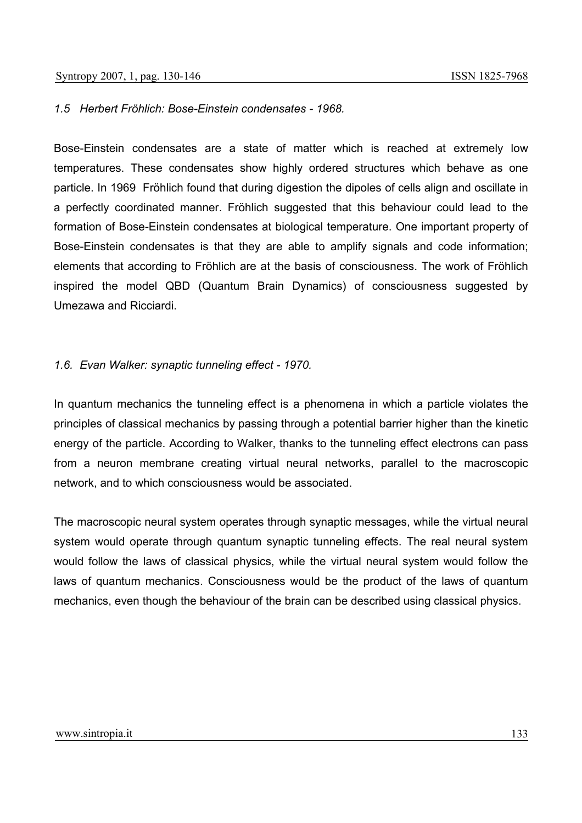### *1.5 Herbert Fröhlich: Bose-Einstein condensates - 1968.*

Bose-Einstein condensates are a state of matter which is reached at extremely low temperatures. These condensates show highly ordered structures which behave as one particle. In 1969 Fröhlich found that during digestion the dipoles of cells align and oscillate in a perfectly coordinated manner. Fröhlich suggested that this behaviour could lead to the formation of Bose-Einstein condensates at biological temperature. One important property of Bose-Einstein condensates is that they are able to amplify signals and code information; elements that according to Fröhlich are at the basis of consciousness. The work of Fröhlich inspired the model QBD (Quantum Brain Dynamics) of consciousness suggested by Umezawa and Ricciardi.

### *1.6. Evan Walker: synaptic tunneling effect - 1970.*

In quantum mechanics the tunneling effect is a phenomena in which a particle violates the principles of classical mechanics by passing through a potential barrier higher than the kinetic energy of the particle. According to Walker, thanks to the tunneling effect electrons can pass from a neuron membrane creating virtual neural networks, parallel to the macroscopic network, and to which consciousness would be associated.

The macroscopic neural system operates through synaptic messages, while the virtual neural system would operate through quantum synaptic tunneling effects. The real neural system would follow the laws of classical physics, while the virtual neural system would follow the laws of quantum mechanics. Consciousness would be the product of the laws of quantum mechanics, even though the behaviour of the brain can be described using classical physics.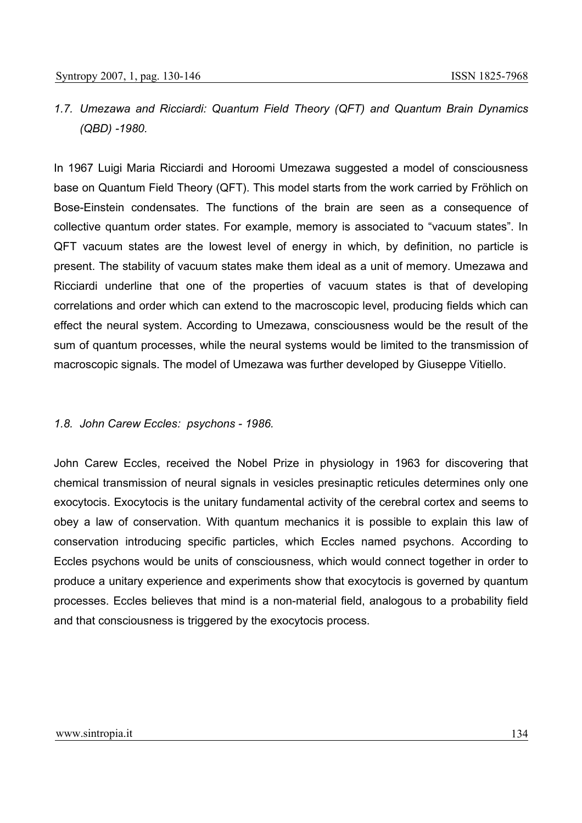# *1.7. Umezawa and Ricciardi: Quantum Field Theory (QFT) and Quantum Brain Dynamics (QBD) -1980.*

In 1967 Luigi Maria Ricciardi and Horoomi Umezawa suggested a model of consciousness base on Quantum Field Theory (QFT). This model starts from the work carried by Fröhlich on Bose-Einstein condensates. The functions of the brain are seen as a consequence of collective quantum order states. For example, memory is associated to "vacuum states". In QFT vacuum states are the lowest level of energy in which, by definition, no particle is present. The stability of vacuum states make them ideal as a unit of memory. Umezawa and Ricciardi underline that one of the properties of vacuum states is that of developing correlations and order which can extend to the macroscopic level, producing fields which can effect the neural system. According to Umezawa, consciousness would be the result of the sum of quantum processes, while the neural systems would be limited to the transmission of macroscopic signals. The model of Umezawa was further developed by Giuseppe Vitiello.

### *1.8. John Carew Eccles: psychons - 1986.*

John Carew Eccles, received the Nobel Prize in physiology in 1963 for discovering that chemical transmission of neural signals in vesicles presinaptic reticules determines only one exocytocis. Exocytocis is the unitary fundamental activity of the cerebral cortex and seems to obey a law of conservation. With quantum mechanics it is possible to explain this law of conservation introducing specific particles, which Eccles named psychons. According to Eccles psychons would be units of consciousness, which would connect together in order to produce a unitary experience and experiments show that exocytocis is governed by quantum processes. Eccles believes that mind is a non-material field, analogous to a probability field and that consciousness is triggered by the exocytocis process.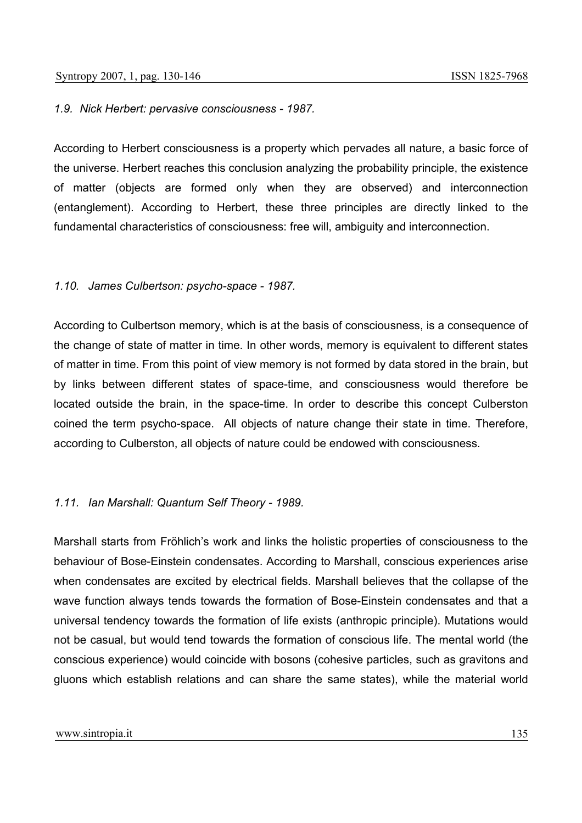### *1.9. Nick Herbert: pervasive consciousness - 1987.*

According to Herbert consciousness is a property which pervades all nature, a basic force of the universe. Herbert reaches this conclusion analyzing the probability principle, the existence of matter (objects are formed only when they are observed) and interconnection (entanglement). According to Herbert, these three principles are directly linked to the fundamental characteristics of consciousness: free will, ambiguity and interconnection.

#### *1.10. James Culbertson: psycho-space - 1987.*

According to Culbertson memory, which is at the basis of consciousness, is a consequence of the change of state of matter in time. In other words, memory is equivalent to different states of matter in time. From this point of view memory is not formed by data stored in the brain, but by links between different states of space-time, and consciousness would therefore be located outside the brain, in the space-time. In order to describe this concept Culberston coined the term psycho-space. All objects of nature change their state in time. Therefore, according to Culberston, all objects of nature could be endowed with consciousness.

### *1.11. Ian Marshall: Quantum Self Theory - 1989.*

Marshall starts from Fröhlich's work and links the holistic properties of consciousness to the behaviour of Bose-Einstein condensates. According to Marshall, conscious experiences arise when condensates are excited by electrical fields. Marshall believes that the collapse of the wave function always tends towards the formation of Bose-Einstein condensates and that a universal tendency towards the formation of life exists (anthropic principle). Mutations would not be casual, but would tend towards the formation of conscious life. The mental world (the conscious experience) would coincide with bosons (cohesive particles, such as gravitons and gluons which establish relations and can share the same states), while the material world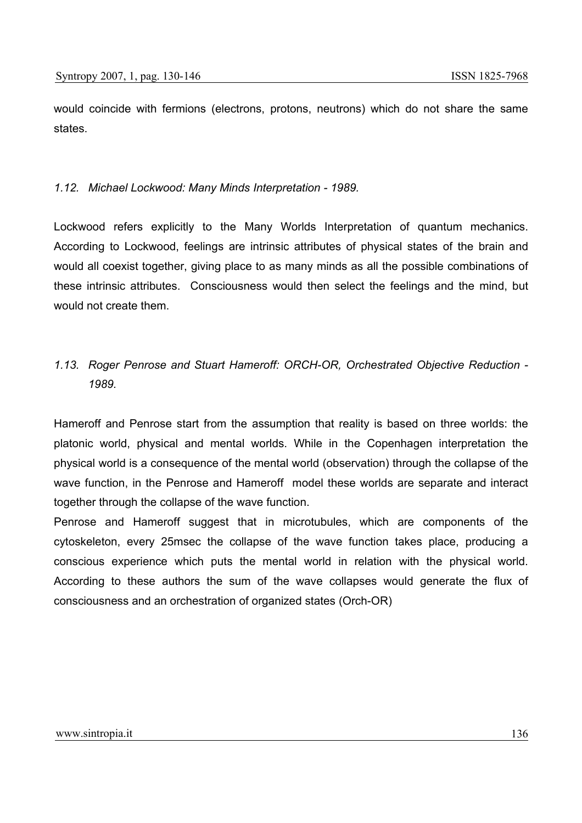would coincide with fermions (electrons, protons, neutrons) which do not share the same states.

## *1.12. Michael Lockwood: Many Minds Interpretation - 1989.*

Lockwood refers explicitly to the Many Worlds Interpretation of quantum mechanics. According to Lockwood, feelings are intrinsic attributes of physical states of the brain and would all coexist together, giving place to as many minds as all the possible combinations of these intrinsic attributes. Consciousness would then select the feelings and the mind, but would not create them.

# *1.13. Roger Penrose and Stuart Hameroff: ORCH-OR, Orchestrated Objective Reduction - 1989.*

Hameroff and Penrose start from the assumption that reality is based on three worlds: the platonic world, physical and mental worlds. While in the Copenhagen interpretation the physical world is a consequence of the mental world (observation) through the collapse of the wave function, in the Penrose and Hameroff model these worlds are separate and interact together through the collapse of the wave function.

Penrose and Hameroff suggest that in microtubules, which are components of the cytoskeleton, every 25msec the collapse of the wave function takes place, producing a conscious experience which puts the mental world in relation with the physical world. According to these authors the sum of the wave collapses would generate the flux of consciousness and an orchestration of organized states (Orch-OR)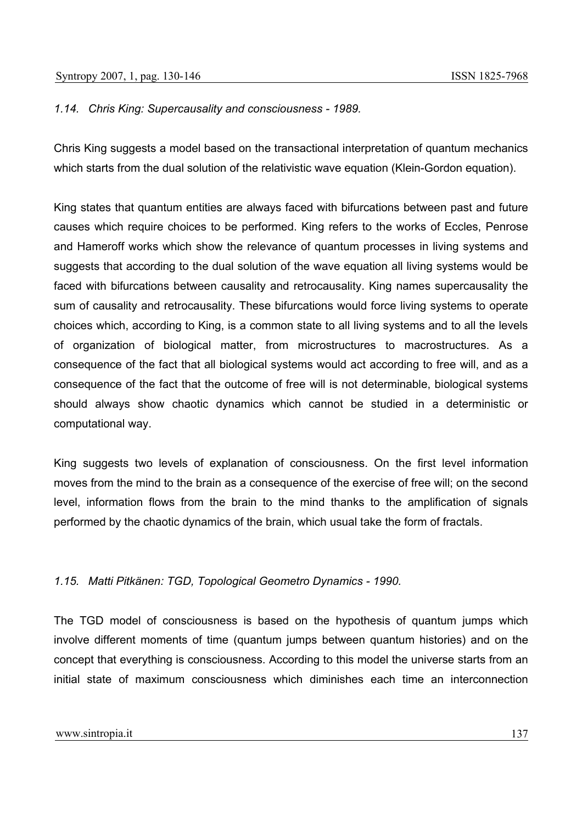## *1.14. Chris King: Supercausality and consciousness - 1989.*

Chris King suggests a model based on the transactional interpretation of quantum mechanics which starts from the dual solution of the relativistic wave equation (Klein-Gordon equation).

King states that quantum entities are always faced with bifurcations between past and future causes which require choices to be performed. King refers to the works of Eccles, Penrose and Hameroff works which show the relevance of quantum processes in living systems and suggests that according to the dual solution of the wave equation all living systems would be faced with bifurcations between causality and retrocausality. King names supercausality the sum of causality and retrocausality. These bifurcations would force living systems to operate choices which, according to King, is a common state to all living systems and to all the levels of organization of biological matter, from microstructures to macrostructures. As a consequence of the fact that all biological systems would act according to free will, and as a consequence of the fact that the outcome of free will is not determinable, biological systems should always show chaotic dynamics which cannot be studied in a deterministic or computational way.

King suggests two levels of explanation of consciousness. On the first level information moves from the mind to the brain as a consequence of the exercise of free will; on the second level, information flows from the brain to the mind thanks to the amplification of signals performed by the chaotic dynamics of the brain, which usual take the form of fractals.

# *1.15. Matti Pitkänen: TGD, Topological Geometro Dynamics - 1990.*

The TGD model of consciousness is based on the hypothesis of quantum jumps which involve different moments of time (quantum jumps between quantum histories) and on the concept that everything is consciousness. According to this model the universe starts from an initial state of maximum consciousness which diminishes each time an interconnection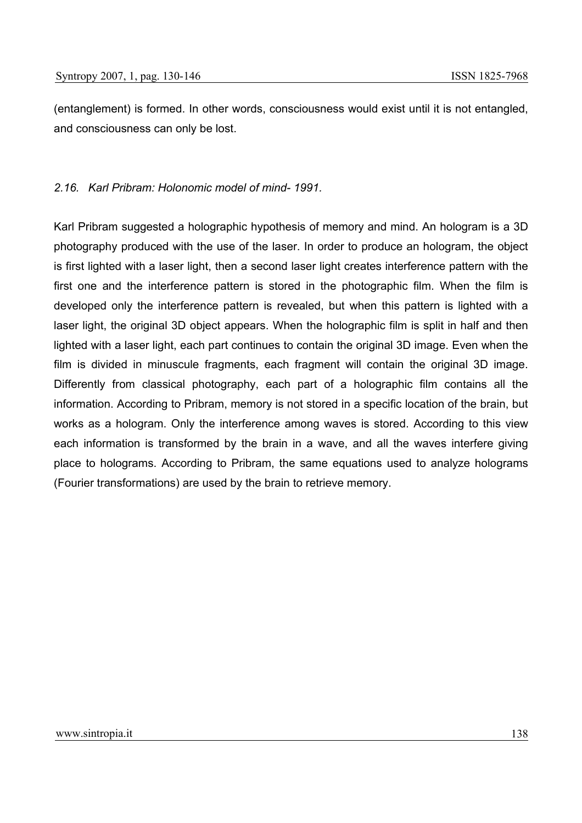(entanglement) is formed. In other words, consciousness would exist until it is not entangled, and consciousness can only be lost.

## *2.16. Karl Pribram: Holonomic model of mind- 1991.*

Karl Pribram suggested a holographic hypothesis of memory and mind. An hologram is a 3D photography produced with the use of the laser. In order to produce an hologram, the object is first lighted with a laser light, then a second laser light creates interference pattern with the first one and the interference pattern is stored in the photographic film. When the film is developed only the interference pattern is revealed, but when this pattern is lighted with a laser light, the original 3D object appears. When the holographic film is split in half and then lighted with a laser light, each part continues to contain the original 3D image. Even when the film is divided in minuscule fragments, each fragment will contain the original 3D image. Differently from classical photography, each part of a holographic film contains all the information. According to Pribram, memory is not stored in a specific location of the brain, but works as a hologram. Only the interference among waves is stored. According to this view each information is transformed by the brain in a wave, and all the waves interfere giving place to holograms. According to Pribram, the same equations used to analyze holograms (Fourier transformations) are used by the brain to retrieve memory.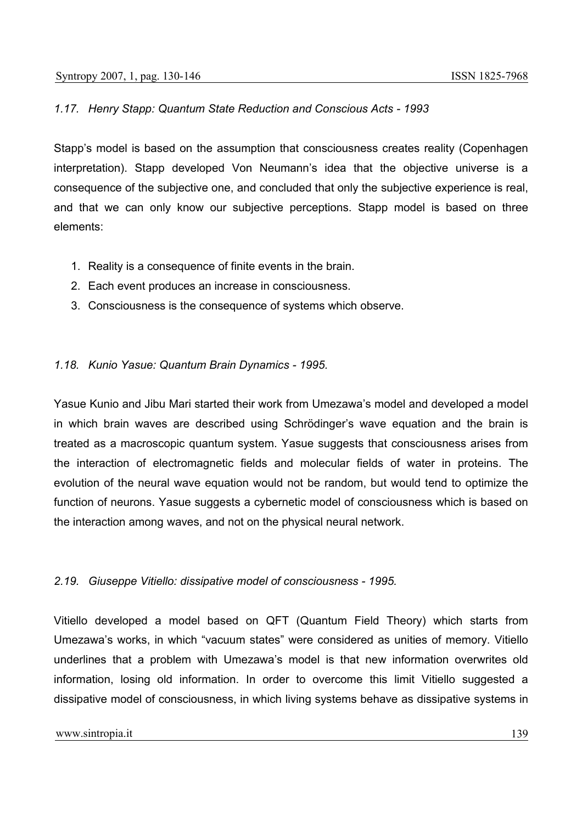## *1.17. Henry Stapp: Quantum State Reduction and Conscious Acts - 1993*

Stapp's model is based on the assumption that consciousness creates reality (Copenhagen interpretation). Stapp developed Von Neumann's idea that the objective universe is a consequence of the subjective one, and concluded that only the subjective experience is real, and that we can only know our subjective perceptions. Stapp model is based on three elements:

- 1. Reality is a consequence of finite events in the brain.
- 2. Each event produces an increase in consciousness.
- 3. Consciousness is the consequence of systems which observe.

## *1.18. Kunio Yasue: Quantum Brain Dynamics - 1995.*

Yasue Kunio and Jibu Mari started their work from Umezawa's model and developed a model in which brain waves are described using Schrödinger's wave equation and the brain is treated as a macroscopic quantum system. Yasue suggests that consciousness arises from the interaction of electromagnetic fields and molecular fields of water in proteins. The evolution of the neural wave equation would not be random, but would tend to optimize the function of neurons. Yasue suggests a cybernetic model of consciousness which is based on the interaction among waves, and not on the physical neural network.

# *2.19. Giuseppe Vitiello: dissipative model of consciousness - 1995.*

Vitiello developed a model based on QFT (Quantum Field Theory) which starts from Umezawa's works, in which "vacuum states" were considered as unities of memory. Vitiello underlines that a problem with Umezawa's model is that new information overwrites old information, losing old information. In order to overcome this limit Vitiello suggested a dissipative model of consciousness, in which living systems behave as dissipative systems in

#### www.sintropia.it 139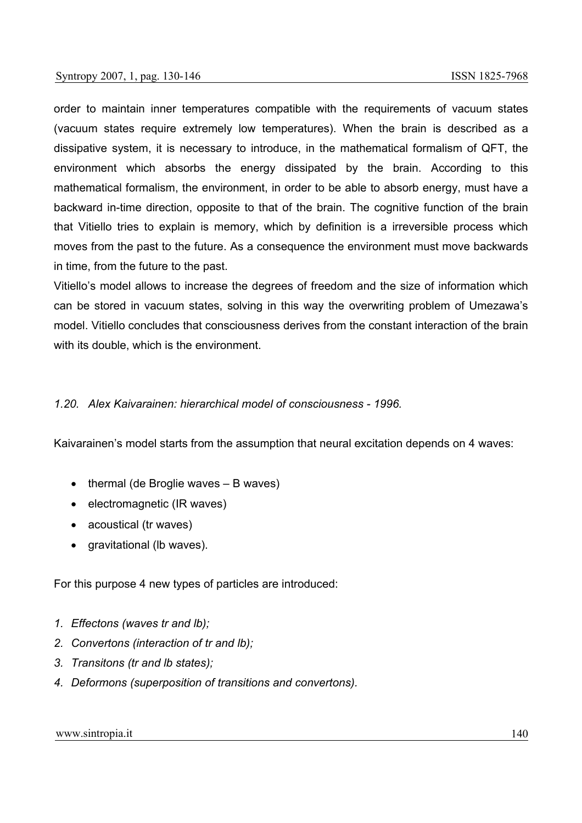order to maintain inner temperatures compatible with the requirements of vacuum states (vacuum states require extremely low temperatures). When the brain is described as a dissipative system, it is necessary to introduce, in the mathematical formalism of QFT, the environment which absorbs the energy dissipated by the brain. According to this mathematical formalism, the environment, in order to be able to absorb energy, must have a backward in-time direction, opposite to that of the brain. The cognitive function of the brain that Vitiello tries to explain is memory, which by definition is a irreversible process which moves from the past to the future. As a consequence the environment must move backwards in time, from the future to the past.

Vitiello's model allows to increase the degrees of freedom and the size of information which can be stored in vacuum states, solving in this way the overwriting problem of Umezawa's model. Vitiello concludes that consciousness derives from the constant interaction of the brain with its double, which is the environment.

## *1.20. Alex Kaivarainen: hierarchical model of consciousness - 1996.*

Kaivarainen's model starts from the assumption that neural excitation depends on 4 waves:

- thermal (de Broglie waves B waves)
- electromagnetic (IR waves)
- acoustical (tr waves)
- gravitational (Ib waves).

For this purpose 4 new types of particles are introduced:

- *1. Effectons (waves tr and lb);*
- *2. Convertons (interaction of tr and lb);*
- *3. Transitons (tr and lb states);*
- *4. Deformons (superposition of transitions and convertons).*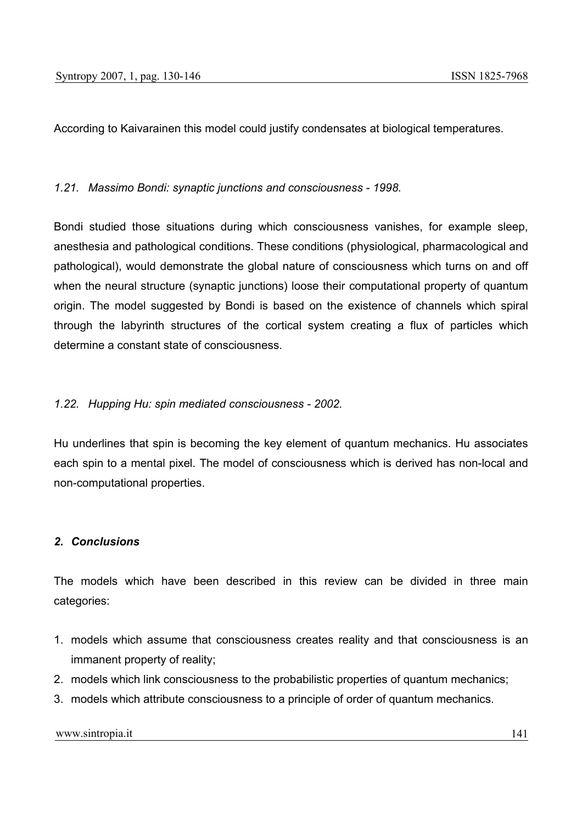According to Kaivarainen this model could justify condensates at biological temperatures.

## *1.21. Massimo Bondi: synaptic junctions and consciousness - 1998.*

Bondi studied those situations during which consciousness vanishes, for example sleep, anesthesia and pathological conditions. These conditions (physiological, pharmacological and pathological), would demonstrate the global nature of consciousness which turns on and off when the neural structure (synaptic junctions) loose their computational property of quantum origin. The model suggested by Bondi is based on the existence of channels which spiral through the labyrinth structures of the cortical system creating a flux of particles which determine a constant state of consciousness.

### *1.22. Hupping Hu: spin mediated consciousness - 2002.*

Hu underlines that spin is becoming the key element of quantum mechanics. Hu associates each spin to a mental pixel. The model of consciousness which is derived has non-local and non-computational properties.

## *2. Conclusions*

The models which have been described in this review can be divided in three main categories:

- 1. models which assume that consciousness creates reality and that consciousness is an immanent property of reality;
- 2. models which link consciousness to the probabilistic properties of quantum mechanics;
- 3. models which attribute consciousness to a principle of order of quantum mechanics.

www.sintropia.it 141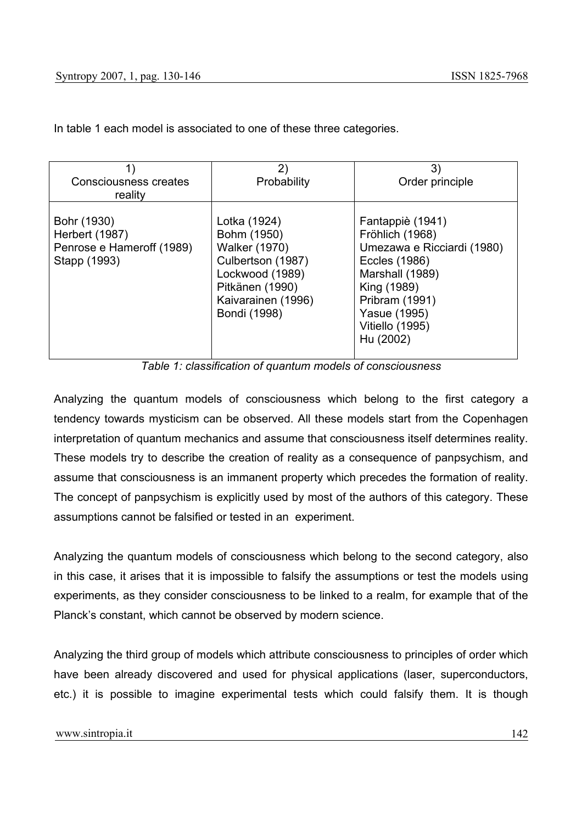| <b>Consciousness creates</b>                                               | $\mathbf{2}$                                                                                                                                         | 3)                                                                                                                                                                                     |
|----------------------------------------------------------------------------|------------------------------------------------------------------------------------------------------------------------------------------------------|----------------------------------------------------------------------------------------------------------------------------------------------------------------------------------------|
| reality                                                                    | Probability                                                                                                                                          | Order principle                                                                                                                                                                        |
| Bohr (1930)<br>Herbert (1987)<br>Penrose e Hameroff (1989)<br>Stapp (1993) | Lotka (1924)<br>Bohm (1950)<br><b>Walker (1970)</b><br>Culbertson (1987)<br>Lockwood (1989)<br>Pitkänen (1990)<br>Kaivarainen (1996)<br>Bondi (1998) | Fantappiè (1941)<br>Fröhlich (1968)<br>Umezawa e Ricciardi (1980)<br>Eccles (1986)<br>Marshall (1989)<br>King (1989)<br>Pribram (1991)<br>Yasue (1995)<br>Vitiello (1995)<br>Hu (2002) |

In table 1 each model is associated to one of these three categories.

*Table 1: classification of quantum models of consciousness* 

Analyzing the quantum models of consciousness which belong to the first category a tendency towards mysticism can be observed. All these models start from the Copenhagen interpretation of quantum mechanics and assume that consciousness itself determines reality. These models try to describe the creation of reality as a consequence of panpsychism, and assume that consciousness is an immanent property which precedes the formation of reality. The concept of panpsychism is explicitly used by most of the authors of this category. These assumptions cannot be falsified or tested in an experiment.

Analyzing the quantum models of consciousness which belong to the second category, also in this case, it arises that it is impossible to falsify the assumptions or test the models using experiments, as they consider consciousness to be linked to a realm, for example that of the Planck's constant, which cannot be observed by modern science.

Analyzing the third group of models which attribute consciousness to principles of order which have been already discovered and used for physical applications (laser, superconductors, etc.) it is possible to imagine experimental tests which could falsify them. It is though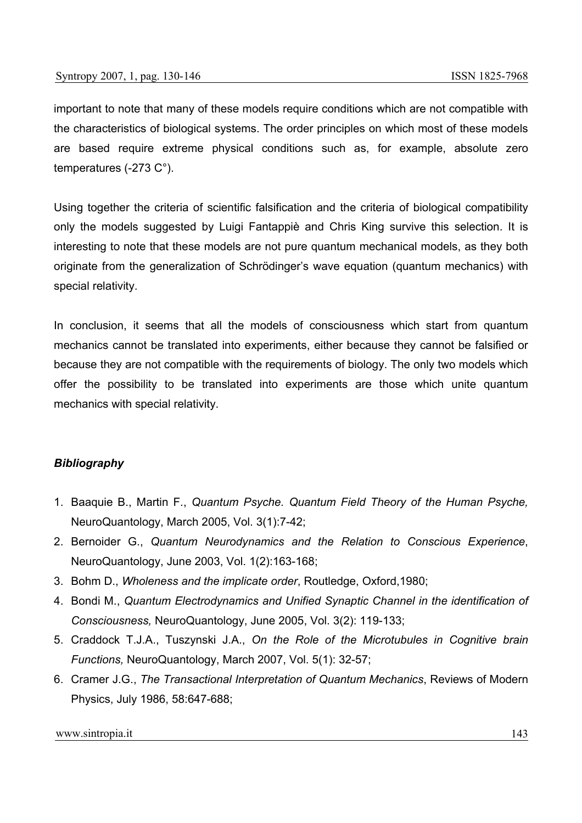important to note that many of these models require conditions which are not compatible with the characteristics of biological systems. The order principles on which most of these models are based require extreme physical conditions such as, for example, absolute zero temperatures (-273 C°).

Using together the criteria of scientific falsification and the criteria of biological compatibility only the models suggested by Luigi Fantappiè and Chris King survive this selection. It is interesting to note that these models are not pure quantum mechanical models, as they both originate from the generalization of Schrödinger's wave equation (quantum mechanics) with special relativity.

In conclusion, it seems that all the models of consciousness which start from quantum mechanics cannot be translated into experiments, either because they cannot be falsified or because they are not compatible with the requirements of biology. The only two models which offer the possibility to be translated into experiments are those which unite quantum mechanics with special relativity.

## *Bibliography*

- 1. Baaquie B., Martin F., *Quantum Psyche. Quantum Field Theory of the Human Psyche,*  NeuroQuantology, March 2005, Vol. 3(1):7-42;
- 2. Bernoider G., *Quantum Neurodynamics and the Relation to Conscious Experience*, NeuroQuantology, June 2003, Vol. 1(2):163-168;
- 3. Bohm D., *Wholeness and the implicate order*, Routledge, Oxford,1980;
- 4. Bondi M., *Quantum Electrodynamics and Unified Synaptic Channel in the identification of Consciousness,* NeuroQuantology, June 2005, Vol. 3(2): 119-133;
- 5. Craddock T.J.A., Tuszynski J.A., *On the Role of the Microtubules in Cognitive brain Functions,* NeuroQuantology, March 2007, Vol. 5(1): 32-57;
- 6. Cramer J.G., *The Transactional Interpretation of Quantum Mechanics*, Reviews of Modern Physics, July 1986, 58:647-688;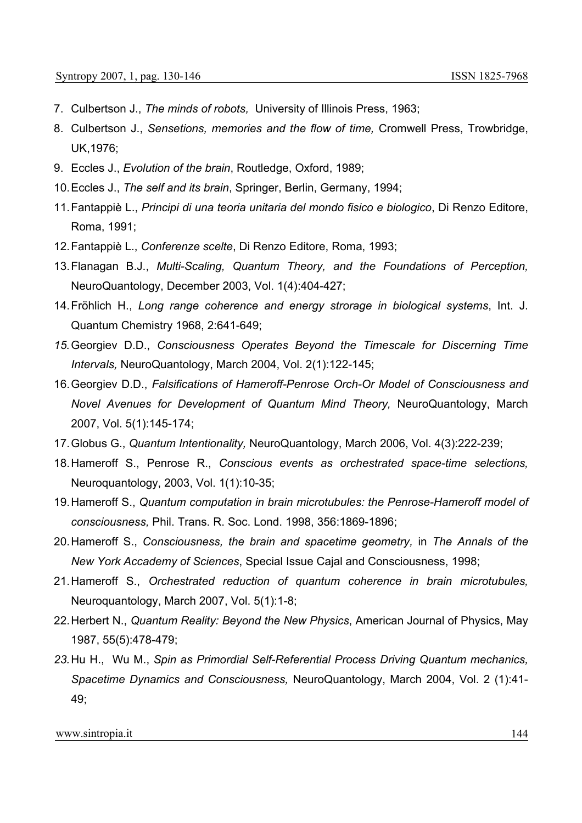- 7. Culbertson J., *The minds of robots,* University of Illinois Press, 1963;
- 8. Culbertson J., *Sensetions, memories and the flow of time,* Cromwell Press, Trowbridge, UK,1976;
- 9. Eccles J., *Evolution of the brain*, Routledge, Oxford, 1989;
- 10. Eccles J., *The self and its brain*, Springer, Berlin, Germany, 1994;
- 11. Fantappiè L., *Principi di una teoria unitaria del mondo fisico e biologico*, Di Renzo Editore, Roma, 1991;
- 12. Fantappiè L., *Conferenze scelte*, Di Renzo Editore, Roma, 1993;
- 13. Flanagan B.J., *Multi-Scaling, Quantum Theory, and the Foundations of Perception,*  NeuroQuantology, December 2003, Vol. 1(4):404-427;
- 14. Fröhlich H., *Long range coherence and energy strorage in biological systems*, Int. J. Quantum Chemistry 1968, 2:641-649;
- *15.* Georgiev D.D., *Consciousness Operates Beyond the Timescale for Discerning Time Intervals,* NeuroQuantology, March 2004, Vol. 2(1):122-145;
- 16. Georgiev D.D., *Falsifications of Hameroff-Penrose Orch-Or Model of Consciousness and Novel Avenues for Development of Quantum Mind Theory,* NeuroQuantology, March 2007, Vol. 5(1):145-174;
- 17. Globus G., *Quantum Intentionality,* NeuroQuantology, March 2006, Vol. 4(3):222-239;
- 18. Hameroff S., Penrose R., *Conscious events as orchestrated space-time selections,*  Neuroquantology, 2003, Vol. 1(1):10-35;
- 19. Hameroff S., *Quantum computation in brain microtubules: the Penrose-Hameroff model of consciousness,* Phil. Trans. R. Soc. Lond. 1998, 356:1869-1896;
- 20. Hameroff S., *Consciousness, the brain and spacetime geometry,* in *The Annals of the New York Accademy of Sciences*, Special Issue Cajal and Consciousness, 1998;
- 21. Hameroff S., *Orchestrated reduction of quantum coherence in brain microtubules,*  Neuroquantology, March 2007, Vol. 5(1):1-8;
- 22. Herbert N., *Quantum Reality: Beyond the New Physics*, American Journal of Physics, May 1987, 55(5):478-479;
- *23.* Hu H., Wu M., *Spin as Primordial Self-Referential Process Driving Quantum mechanics, Spacetime Dynamics and Consciousness,* NeuroQuantology, March 2004, Vol. 2 (1):41- 49;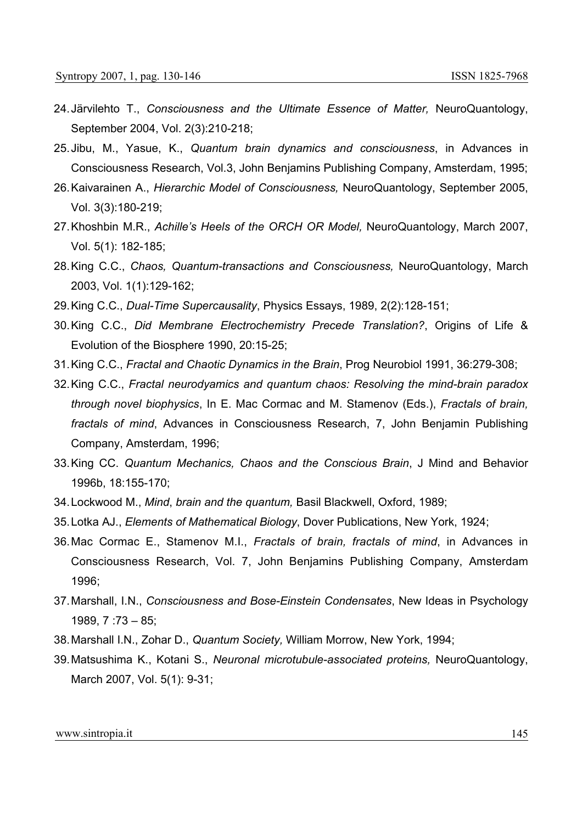- 24. Järvilehto T., *Consciousness and the Ultimate Essence of Matter,* NeuroQuantology, September 2004, Vol. 2(3):210-218;
- 25. Jibu, M., Yasue, K., *Quantum brain dynamics and consciousness*, in Advances in Consciousness Research, Vol.3, John Benjamins Publishing Company, Amsterdam, 1995;
- 26. Kaivarainen A., *Hierarchic Model of Consciousness,* NeuroQuantology, September 2005, Vol. 3(3):180-219;
- 27. Khoshbin M.R., *Achille's Heels of the ORCH OR Model,* NeuroQuantology, March 2007, Vol. 5(1): 182-185;
- 28. King C.C., *Chaos, Quantum-transactions and Consciousness,* NeuroQuantology, March 2003, Vol. 1(1):129-162;
- 29. King C.C., *Dual-Time Supercausality*, Physics Essays, 1989, 2(2):128-151;
- 30. King C.C., *Did Membrane Electrochemistry Precede Translation?*, Origins of Life & Evolution of the Biosphere 1990, 20:15-25;
- 31. King C.C., *Fractal and Chaotic Dynamics in the Brain*, Prog Neurobiol 1991, 36:279-308;
- 32. King C.C., *Fractal neurodyamics and quantum chaos: Resolving the mind-brain paradox through novel biophysics*, In E. Mac Cormac and M. Stamenov (Eds.), *Fractals of brain, fractals of mind*, Advances in Consciousness Research, 7, John Benjamin Publishing Company, Amsterdam, 1996;
- 33. King CC. *Quantum Mechanics, Chaos and the Conscious Brain*, J Mind and Behavior 1996b, 18:155-170;
- 34. Lockwood M., *Mind*, *brain and the quantum,* Basil Blackwell, Oxford, 1989;
- 35. Lotka AJ., *Elements of Mathematical Biology*, Dover Publications, New York, 1924;
- 36. Mac Cormac E., Stamenov M.I., *Fractals of brain, fractals of mind*, in Advances in Consciousness Research, Vol. 7, John Benjamins Publishing Company, Amsterdam 1996;
- 37. Marshall, I.N., *Consciousness and Bose-Einstein Condensates*, New Ideas in Psychology 1989, 7 :73 – 85;
- 38. Marshall I.N., Zohar D., *Quantum Society,* William Morrow, New York, 1994;
- 39. Matsushima K., Kotani S., *Neuronal microtubule-associated proteins,* NeuroQuantology, March 2007, Vol. 5(1): 9-31;